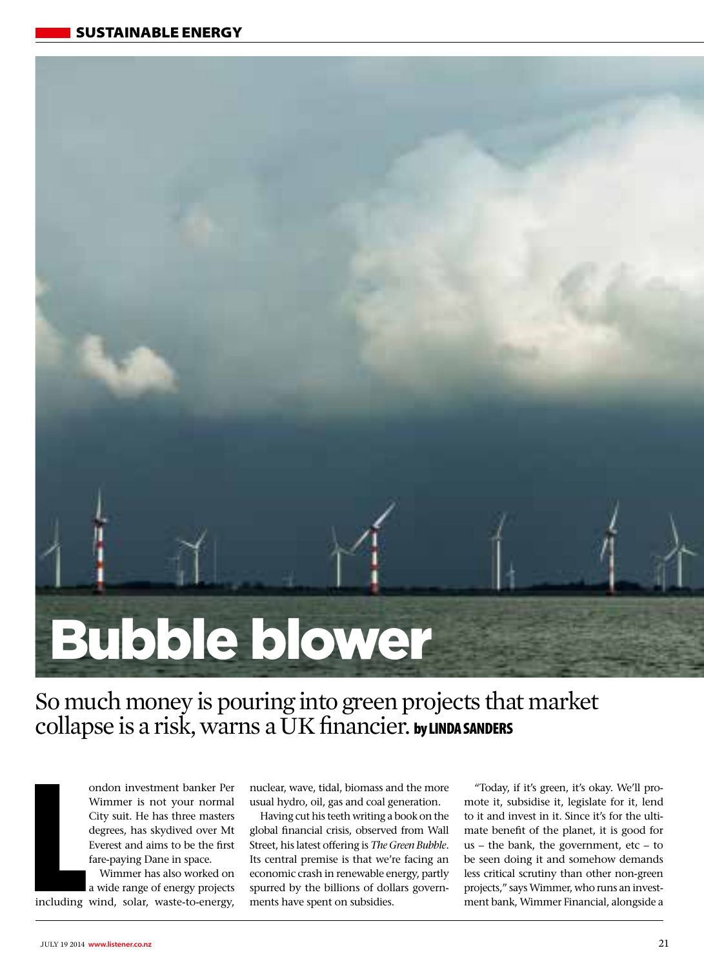

So much money is pouring into green projects that market collapse is a risk, warns a UK financier. by LINDA SANDERS

ondon investment banker Per Wimmer is not your normal City suit. He has three masters degrees, has skydived over Mt Everest and aims to be the first fare-paying Dane in space.

Example 11<br>
<u>Including</u> Wimmer has also worked on a wide range of energy projects including wind, solar, waste-to-energy,

nuclear, wave, tidal, biomass and the more usual hydro, oil, gas and coal generation.

Having cut his teeth writing a book on the global financial crisis, observed from Wall Street, his latest offering is *The Green Bubble*. Its central premise is that we're facing an economic crash in renewable energy, partly spurred by the billions of dollars governments have spent on subsidies.

"Today, if it's green, it's okay. We'll promote it, subsidise it, legislate for it, lend to it and invest in it. Since it's for the ultimate benefit of the planet, it is good for us – the bank, the government, etc – to be seen doing it and somehow demands less critical scrutiny than other non-green projects," says Wimmer, who runs an investment bank, Wimmer Financial, alongside a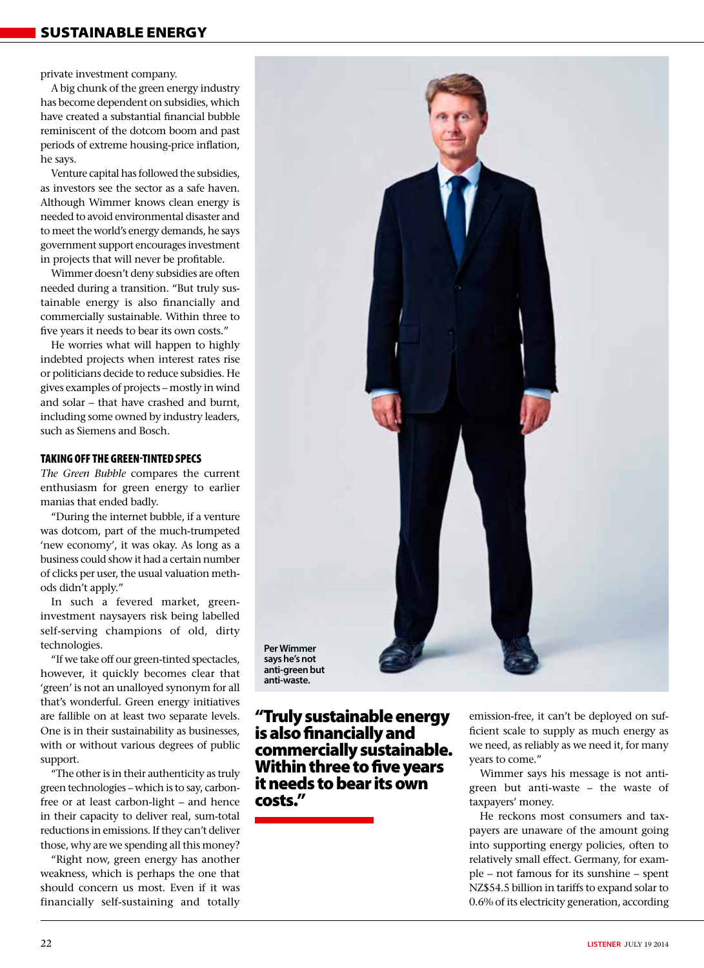private investment company.

A big chunk of the green energy industry has become dependent on subsidies, which have created a substantial financial bubble reminiscent of the dotcom boom and past periods of extreme housing-price inflation, he says.

Venture capital has followed the subsidies, as investors see the sector as a safe haven. Although Wimmer knows clean energy is needed to avoid environmental disaster and to meet the world's energy demands, he says government support encourages investment in projects that will never be profitable.

Wimmer doesn't deny subsidies are often needed during a transition. "But truly sustainable energy is also financially and commercially sustainable. Within three to five years it needs to bear its own costs."

He worries what will happen to highly indebted projects when interest rates rise or politicians decide to reduce subsidies. He gives examples of projects – mostly in wind and solar – that have crashed and burnt, including some owned by industry leaders, such as Siemens and Bosch.

## TAKING OFF THE GREEN-TINTED SPECS

*The Green Bubble* compares the current enthusiasm for green energy to earlier manias that ended badly.

"During the internet bubble, if a venture was dotcom, part of the much-trumpeted 'new economy', it was okay. As long as a business could show it had a certain number of clicks per user, the usual valuation methods didn't apply."

In such a fevered market, greeninvestment naysayers risk being labelled self-serving champions of old, dirty technologies.

"If we take off our green-tinted spectacles, however, it quickly becomes clear that 'green' is not an unalloyed synonym for all that's wonderful. Green energy initiatives are fallible on at least two separate levels. One is in their sustainability as businesses, with or without various degrees of public support.

"The other is in their authenticity as truly green technologies – which is to say, carbonfree or at least carbon-light – and hence in their capacity to deliver real, sum-total reductions in emissions. If they can't deliver those, why are we spending all this money?

"Right now, green energy has another weakness, which is perhaps the one that should concern us most. Even if it was financially self-sustaining and totally



"Truly sustainable energy is also financially and commercially sustainable. Within three to five years

it needs to bear its own

costs."

emission-free, it can't be deployed on sufficient scale to supply as much energy as we need, as reliably as we need it, for many years to come."

Wimmer says his message is not antigreen but anti-waste – the waste of taxpayers' money.

He reckons most consumers and taxpayers are unaware of the amount going into supporting energy policies, often to relatively small effect. Germany, for example – not famous for its sunshine – spent NZ\$54.5 billion in tariffs to expand solar to 0.6% of its electricity generation, according